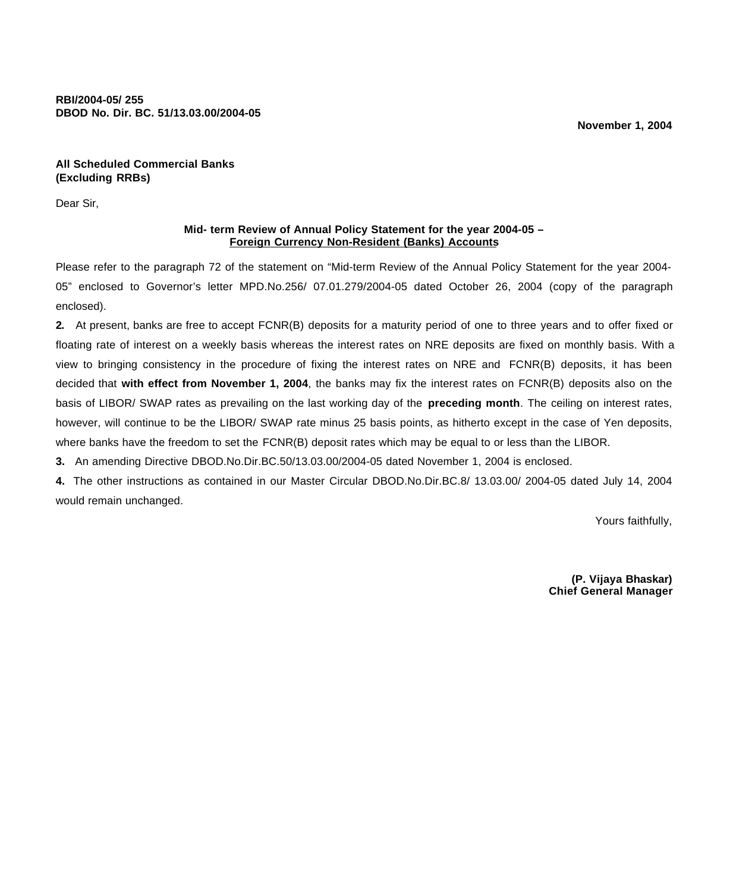**RBI/2004-05/ 255 DBOD No. Dir. BC. 51/13.03.00/2004-05**

**November 1, 2004**

**All Scheduled Commercial Banks (Excluding RRBs)**

Dear Sir,

# **Mid- term Review of Annual Policy Statement for the year 2004-05 – Foreign Currency Non-Resident (Banks) Accounts**

Please refer to the paragraph 72 of the statement on "Mid-term Review of the Annual Policy Statement for the year 2004- 05" enclosed to Governor's letter MPD.No.256/ 07.01.279/2004-05 dated October 26, 2004 (copy of the paragraph enclosed).

**2.** At present, banks are free to accept FCNR(B) deposits for a maturity period of one to three years and to offer fixed or floating rate of interest on a weekly basis whereas the interest rates on NRE deposits are fixed on monthly basis. With a view to bringing consistency in the procedure of fixing the interest rates on NRE and FCNR(B) deposits, it has been decided that **with effect from November 1, 2004**, the banks may fix the interest rates on FCNR(B) deposits also on the basis of LIBOR/ SWAP rates as prevailing on the last working day of the **preceding month**. The ceiling on interest rates, however, will continue to be the LIBOR/ SWAP rate minus 25 basis points, as hitherto except in the case of Yen deposits, where banks have the freedom to set the FCNR(B) deposit rates which may be equal to or less than the LIBOR.

**3.** An amending Directive DBOD.No.Dir.BC.50/13.03.00/2004-05 dated November 1, 2004 is enclosed.

**4.** The other instructions as contained in our Master Circular DBOD.No.Dir.BC.8/ 13.03.00/ 2004-05 dated July 14, 2004 would remain unchanged.

Yours faithfully,

**(P. Vijaya Bhaskar) Chief General Manager**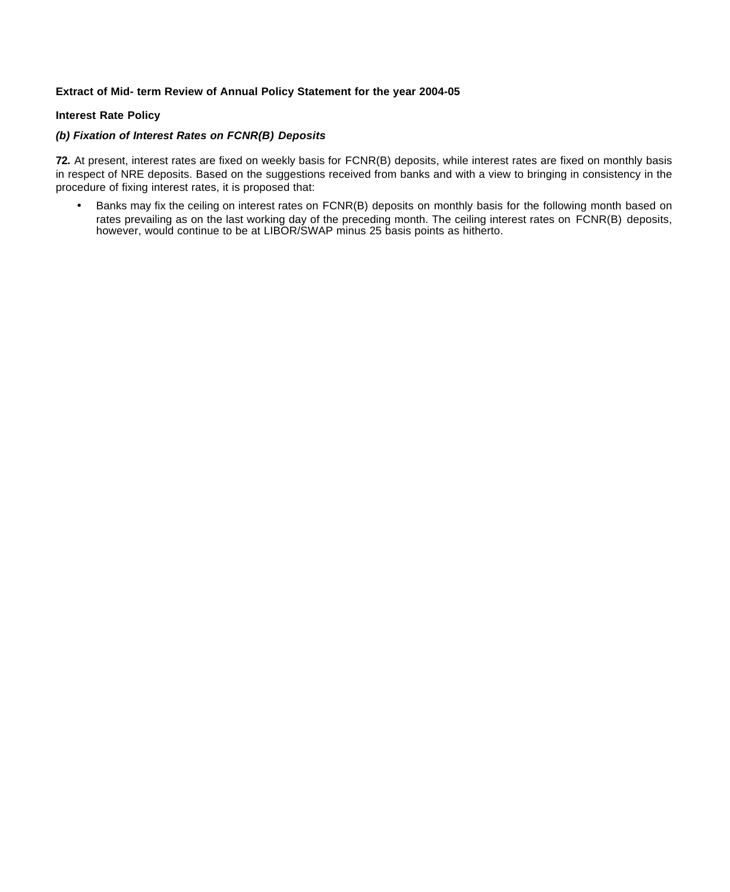# **Extract of Mid- term Review of Annual Policy Statement for the year 2004-05**

## **Interest Rate Policy**

### *(b) Fixation of Interest Rates on FCNR(B) Deposits*

**72.** At present, interest rates are fixed on weekly basis for FCNR(B) deposits, while interest rates are fixed on monthly basis in respect of NRE deposits. Based on the suggestions received from banks and with a view to bringing in consistency in the procedure of fixing interest rates, it is proposed that:

• Banks may fix the ceiling on interest rates on FCNR(B) deposits on monthly basis for the following month based on rates prevailing as on the last working day of the preceding month. The ceiling interest rates on FCNR(B) deposits, however, would continue to be at LIBOR/SWAP minus 25 basis points as hitherto.